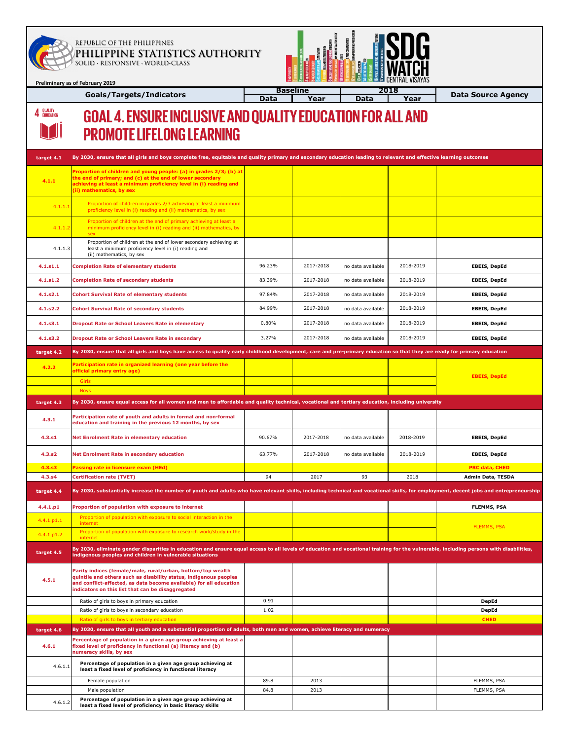

4 QUALITY

**Preliminary as of February 2019**

## REPUBLIC OF THE PHILIPPINES \_\_\_\_\_\_\_\_\_\_\_\_\_\_\_\_\_\_\_\_\_\_\_\_\_\_\_\_\_\_\_\_\_\_\_\_\_\_\_\_\_\_\_\_\_\_\_\_\_\_\_\_\_\_\_\_\_\_\_\_\_\_\_\_\_\_\_\_\_\_\_\_\_\_\_\_\_\_\_\_\_\_ **PHILIPPINE STATISTICS AUTHORITY** SOLID ∙ RESPONSIVE ∙ WORLD-CLASS

**Goals/Targets/Indicators**



**Data Source Agency**

## **GOAL 4. ENSURE INCLUSIVE AND QUALITY EDUCATION FOR ALL AND PROMOTE LIFELONG LEARNING**

| target 4.1    | By 2030, ensure that all girls and boys complete free, equitable and quality primary and secondary education leading to relevant and effective learning outcomes                                                                                            |        |           |                   |           |                          |
|---------------|-------------------------------------------------------------------------------------------------------------------------------------------------------------------------------------------------------------------------------------------------------------|--------|-----------|-------------------|-----------|--------------------------|
|               | Proportion of children and young people: (a) in grades 2/3; (b) at                                                                                                                                                                                          |        |           |                   |           |                          |
| 4.1.1         | the end of primary; and (c) at the end of lower secondary<br>achieving at least a minimum proficiency level in (i) reading and<br>(ii) mathematics, by sex                                                                                                  |        |           |                   |           |                          |
| 4.1.1.1       | Proportion of children in grades 2/3 achieving at least a minimum<br>proficiency level in (i) reading and (ii) mathematics, by sex                                                                                                                          |        |           |                   |           |                          |
| 4.1.1.2       | Proportion of children at the end of primary achieving at least a<br>minimum proficiency level in (i) reading and (ii) mathematics, by<br>sex                                                                                                               |        |           |                   |           |                          |
| 4.1.1.3       | Proportion of children at the end of lower secondary achieving at<br>least a minimum proficiency level in (i) reading and<br>(ii) mathematics, by sex                                                                                                       |        |           |                   |           |                          |
| 4.1.51.1      | <b>Completion Rate of elementary students</b>                                                                                                                                                                                                               | 96.23% | 2017-2018 | no data available | 2018-2019 | <b>EBEIS, DepEd</b>      |
| 4.1.51.2      | <b>Completion Rate of secondary students</b>                                                                                                                                                                                                                | 83.39% | 2017-2018 | no data available | 2018-2019 | <b>EBEIS, DepEd</b>      |
| 4.1.52.1      | <b>Cohort Survival Rate of elementary students</b>                                                                                                                                                                                                          | 97.84% | 2017-2018 | no data available | 2018-2019 | <b>EBEIS, DepEd</b>      |
| 4.1.52.2      | <b>Cohort Survival Rate of secondary students</b>                                                                                                                                                                                                           | 84.99% | 2017-2018 | no data available | 2018-2019 | <b>EBEIS, DepEd</b>      |
| 4.1.53.1      | <b>Dropout Rate or School Leavers Rate in elementary</b>                                                                                                                                                                                                    | 0.80%  | 2017-2018 | no data available | 2018-2019 | <b>EBEIS, DepEd</b>      |
| 4.1.53.2      | <b>Dropout Rate or School Leavers Rate in secondary</b>                                                                                                                                                                                                     | 3.27%  | 2017-2018 | no data available | 2018-2019 | <b>EBEIS, DepEd</b>      |
| target 4.2    | By 2030, ensure that all girls and boys have access to quality early childhood development, care and pre-primary education so that they are ready for primary education                                                                                     |        |           |                   |           |                          |
|               | Participation rate in organized learning (one year before the                                                                                                                                                                                               |        |           |                   |           |                          |
| 4.2.2         | official primary entry age)                                                                                                                                                                                                                                 |        |           |                   |           | <b>EBEIS, DepEd</b>      |
|               | Girls<br><b>Boys</b>                                                                                                                                                                                                                                        |        |           |                   |           |                          |
| target 4.3    | By 2030, ensure equal access for all women and men to affordable and quality technical, vocational and tertiary education, including university                                                                                                             |        |           |                   |           |                          |
| 4.3.1         | Participation rate of youth and adults in formal and non-formal<br>education and training in the previous 12 months, by sex                                                                                                                                 |        |           |                   |           |                          |
| 4.3.s1        | <b>Net Enrolment Rate in elementary education</b>                                                                                                                                                                                                           | 90.67% | 2017-2018 | no data available | 2018-2019 | <b>EBEIS, DepEd</b>      |
| 4.3.s2        | <b>Net Enrolment Rate in secondary education</b>                                                                                                                                                                                                            | 63.77% | 2017-2018 | no data available | 2018-2019 | <b>EBEIS, DepEd</b>      |
| 4.3.s3        | Passing rate in licensure exam (HEd)                                                                                                                                                                                                                        |        |           |                   |           | <b>PRC data, CHED</b>    |
| 4.3.s4        | <b>Certification rate (TVET)</b>                                                                                                                                                                                                                            | 94     | 2017      | 93                | 2018      | <b>Admin Data, TESDA</b> |
| target 4.4    | By 2030, substantially increase the number of youth and adults who have relevant skills, including technical and vocational skills, for employment, decent jobs and entrepreneurship                                                                        |        |           |                   |           |                          |
| 4.4.1. p1     | Proportion of population with exposure to internet                                                                                                                                                                                                          |        |           |                   |           | <b>FLEMMS, PSA</b>       |
| $4.4.1$ .p1.1 | Proportion of population with exposure to social interaction in the<br>internet                                                                                                                                                                             |        |           |                   |           |                          |
| 4.4.1.p1.2    | Proportion of population with exposure to research work/study in the<br>internet                                                                                                                                                                            |        |           |                   |           | <b>FLEMMS, PSA</b>       |
| target 4.5    | By 2030, eliminate gender disparities in education and ensure equal access to all levels of education and vocational training for the vulnerable, including persons with disabilities,<br>indigenous peoples and children in vulnerable situations          |        |           |                   |           |                          |
| 4.5.1         | Parity indices (female/male, rural/urban, bottom/top wealth<br>quintile and others such as disability status, indigenous peoples<br>and conflict-affected, as data become available) for all education<br>indicators on this list that can be disaggregated |        |           |                   |           |                          |
|               | Ratio of girls to boys in primary education                                                                                                                                                                                                                 | 0.91   |           |                   |           | <b>DepEd</b>             |
|               | Ratio of girls to boys in secondary education                                                                                                                                                                                                               | 1.02   |           |                   |           | <b>DepEd</b>             |
| target 4.6    | Ratio of girls to boys in tertiary education<br>By 2030, ensure that all youth and a substantial proportion of adults, both men and women, achieve literacy and numeracy                                                                                    |        |           |                   |           | <b>CHED</b>              |
| 4.6.1         | Percentage of population in a given age group achieving at least a<br>fixed level of proficiency in functional (a) literacy and (b)<br>numeracy skills, by sex                                                                                              |        |           |                   |           |                          |
| 4.6.1.1       | Percentage of population in a given age group achieving at<br>least a fixed level of proficiency in functional literacy                                                                                                                                     |        |           |                   |           |                          |
|               | Female population                                                                                                                                                                                                                                           | 89.8   | 2013      |                   |           | FLEMMS, PSA              |
|               | Male population                                                                                                                                                                                                                                             | 84.8   | 2013      |                   |           | FLEMMS, PSA              |
| 4.6.1.2       | Percentage of population in a given age group achieving at<br>least a fixed level of proficiency in basic literacy skills                                                                                                                                   |        |           |                   |           |                          |